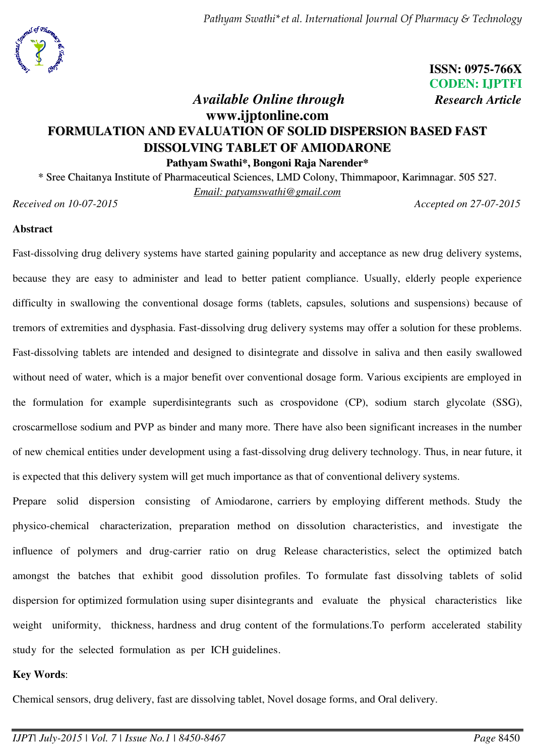*Pathyam Swathi\*et al. International Journal Of Pharmacy & Technology* 



**ISSN: 0975-766X CODEN: IJPTFI** 

# *Available Online through Research Article* **www.ijptonline.com FORMULATION AND EVALUATION OF SOLID DISPERSION BASED FAST DISSOLVING TABLET OF AMIODARONE Pathyam Swathi\*, Bongoni Raja Narender\***

\* Sree Chaitanya Institute of Pharmaceutical Sciences, LMD Colony, Thimmapoor, Karimnagar. 505 527. *Email: [patyamswathi@gmail.com](mailto:patyamswathi@gmail.com)  Received on 10-07-2015 Accepted on 27-07-2015*

### **Abstract**

Fast-dissolving drug delivery systems have started gaining popularity and acceptance as new drug delivery systems, because they are easy to administer and lead to better patient compliance. Usually, elderly people experience difficulty in swallowing the conventional dosage forms (tablets, capsules, solutions and suspensions) because of tremors of extremities and dysphasia. Fast-dissolving drug delivery systems may offer a solution for these problems. Fast-dissolving tablets are intended and designed to disintegrate and dissolve in saliva and then easily swallowed without need of water, which is a major benefit over conventional dosage form. Various excipients are employed in the formulation for example superdisintegrants such as crospovidone (CP), sodium starch glycolate (SSG), croscarmellose sodium and PVP as binder and many more. There have also been significant increases in the number of new chemical entities under development using a fast-dissolving drug delivery technology. Thus, in near future, it is expected that this delivery system will get much importance as that of conventional delivery systems.

Prepare solid dispersion consisting of Amiodarone, carriers by employing different methods. Study the physico-chemical characterization, preparation method on dissolution characteristics, and investigate the influence of polymers and drug-carrier ratio on drug Release characteristics, select the optimized batch amongst the batches that exhibit good dissolution profiles. To formulate fast dissolving tablets of solid dispersion for optimized formulation using super disintegrants and evaluate the physical characteristics like weight uniformity, thickness, hardness and drug content of the formulations. To perform accelerated stability study for the selected formulation as per ICH guidelines.

### **Key Words**:

Chemical sensors, drug delivery, fast are dissolving tablet, Novel dosage forms, and Oral delivery.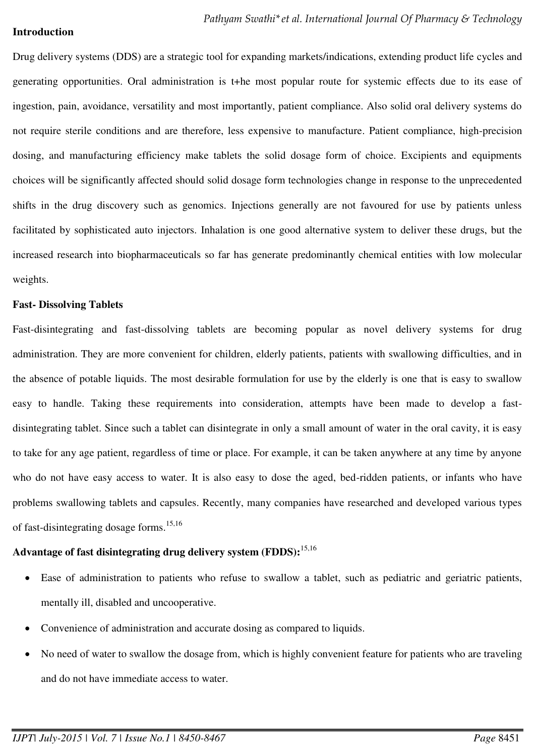#### **Introduction**

Drug delivery systems (DDS) are a strategic tool for expanding markets/indications, extending product life cycles and generating opportunities. Oral administration is t+he most popular route for systemic effects due to its ease of ingestion, pain, avoidance, versatility and most importantly, patient compliance. Also solid oral delivery systems do not require sterile conditions and are therefore, less expensive to manufacture. Patient compliance, high-precision dosing, and manufacturing efficiency make tablets the solid dosage form of choice. Excipients and equipments choices will be significantly affected should solid dosage form technologies change in response to the unprecedented shifts in the drug discovery such as genomics. Injections generally are not favoured for use by patients unless facilitated by sophisticated auto injectors. Inhalation is one good alternative system to deliver these drugs, but the increased research into biopharmaceuticals so far has generate predominantly chemical entities with low molecular weights.

#### **Fast- Dissolving Tablets**

Fast-disintegrating and fast-dissolving tablets are becoming popular as novel delivery systems for drug administration. They are more convenient for children, elderly patients, patients with swallowing difficulties, and in the absence of potable liquids. The most desirable formulation for use by the elderly is one that is easy to swallow easy to handle. Taking these requirements into consideration, attempts have been made to develop a fastdisintegrating tablet. Since such a tablet can disintegrate in only a small amount of water in the oral cavity, it is easy to take for any age patient, regardless of time or place. For example, it can be taken anywhere at any time by anyone who do not have easy access to water. It is also easy to dose the aged, bed-ridden patients, or infants who have problems swallowing tablets and capsules. Recently, many companies have researched and developed various types of fast-disintegrating dosage forms.15,16

#### **Advantage of fast disintegrating drug delivery system (FDDS):**15,16

- Ease of administration to patients who refuse to swallow a tablet, such as pediatric and geriatric patients, mentally ill, disabled and uncooperative.
- Convenience of administration and accurate dosing as compared to liquids.
- No need of water to swallow the dosage from, which is highly convenient feature for patients who are traveling and do not have immediate access to water.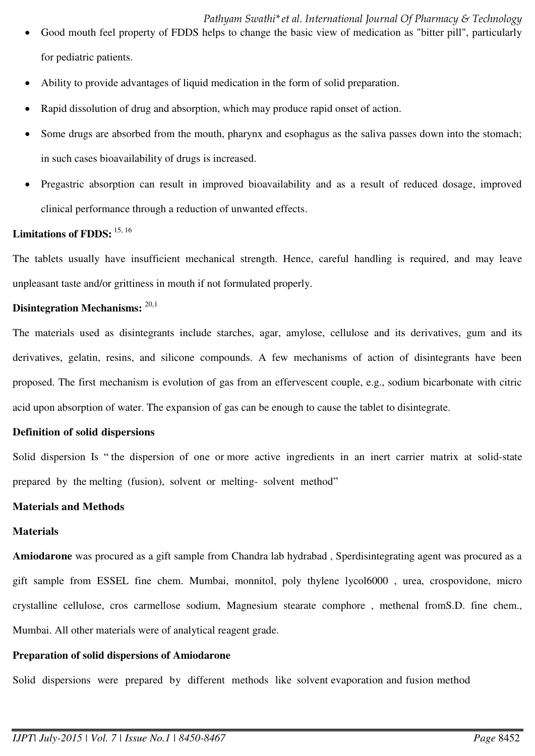*Pathyam Swathi\*et al. International Journal Of Pharmacy & Technology* 

- Good mouth feel property of FDDS helps to change the basic view of medication as "bitter pill", particularly for pediatric patients.
- Ability to provide advantages of liquid medication in the form of solid preparation.
- Rapid dissolution of drug and absorption, which may produce rapid onset of action.
- Some drugs are absorbed from the mouth, pharynx and esophagus as the saliva passes down into the stomach; in such cases bioavailability of drugs is increased.
- Pregastric absorption can result in improved bioavailability and as a result of reduced dosage, improved clinical performance through a reduction of unwanted effects.

### Limitations of FDDS:  $15, 16$

The tablets usually have insufficient mechanical strength. Hence, careful handling is required, and may leave unpleasant taste and/or grittiness in mouth if not formulated properly.

### **Disintegration Mechanisms:**  $^{20,1}$

The materials used as disintegrants include starches, agar, amylose, cellulose and its derivatives, gum and its derivatives, gelatin, resins, and silicone compounds. A few mechanisms of action of disintegrants have been proposed. The first mechanism is evolution of gas from an effervescent couple, e.g., sodium bicarbonate with citric acid upon absorption of water. The expansion of gas can be enough to cause the tablet to disintegrate.

### **Definition of solid dispersions**

Solid dispersion Is " the dispersion of one or more active ingredients in an inert carrier matrix at solid-state prepared by the melting (fusion), solvent or melting- solvent method"

### **Materials and Methods**

### **Materials**

**Amiodarone** was procured as a gift sample from Chandra lab hydrabad , Sperdisintegrating agent was procured as a gift sample from ESSEL fine chem. Mumbai, monnitol, poly thylene lycol6000 , urea, crospovidone, micro crystalline cellulose, cros carmellose sodium, Magnesium stearate comphore , methenal fromS.D. fine chem., Mumbai. All other materials were of analytical reagent grade.

### **Preparation of solid dispersions of Amiodarone**

Solid dispersions were prepared by different methods like solvent evaporation and fusion method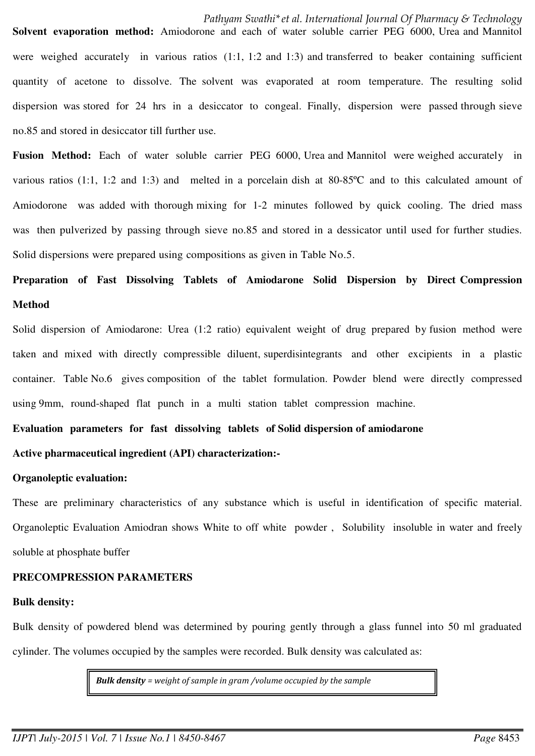Solvent evaporation method: Amiodorone and each of water soluble carrier PEG 6000. Urea and Mannitol were weighed accurately in various ratios (1:1, 1:2 and 1:3) and transferred to beaker containing sufficient quantity of acetone to dissolve. The solvent was evaporated at room temperature. The resulting solid dispersion was stored for 24 hrs in a desiccator to congeal. Finally, dispersion were passed through sieve no.85 and stored in desiccator till further use.

**Fusion Method:** Each of water soluble carrier PEG 6000, Urea and Mannitol were weighed accurately in various ratios (1:1, 1:2 and 1:3) and melted in a porcelain dish at 80-85ºC and to this calculated amount of Amiodorone was added with thorough mixing for 1-2 minutes followed by quick cooling. The dried mass was then pulverized by passing through sieve no.85 and stored in a dessicator until used for further studies. Solid dispersions were prepared using compositions as given in Table No.5.

# **Preparation of Fast Dissolving Tablets of Amiodarone Solid Dispersion by Direct Compression Method**

Solid dispersion of Amiodarone: Urea (1:2 ratio) equivalent weight of drug prepared by fusion method were taken and mixed with directly compressible diluent, superdisintegrants and other excipients in a plastic container. Table No.6 gives composition of the tablet formulation. Powder blend were directly compressed using 9mm, round-shaped flat punch in a multi station tablet compression machine.

#### **Evaluation parameters for fast dissolving tablets of Solid dispersion of amiodarone**

#### **Active pharmaceutical ingredient (API) characterization:-**

#### **Organoleptic evaluation:**

These are preliminary characteristics of any substance which is useful in identification of specific material. Organoleptic Evaluation Amiodran shows White to off white powder , Solubility insoluble in water and freely soluble at phosphate buffer

### **PRECOMPRESSION PARAMETERS**

#### **Bulk density:**

Bulk density of powdered blend was determined by pouring gently through a glass funnel into 50 ml graduated cylinder. The volumes occupied by the samples were recorded. Bulk density was calculated as:

*Bulk density = weight of sample in gram /volume occupied by the sample*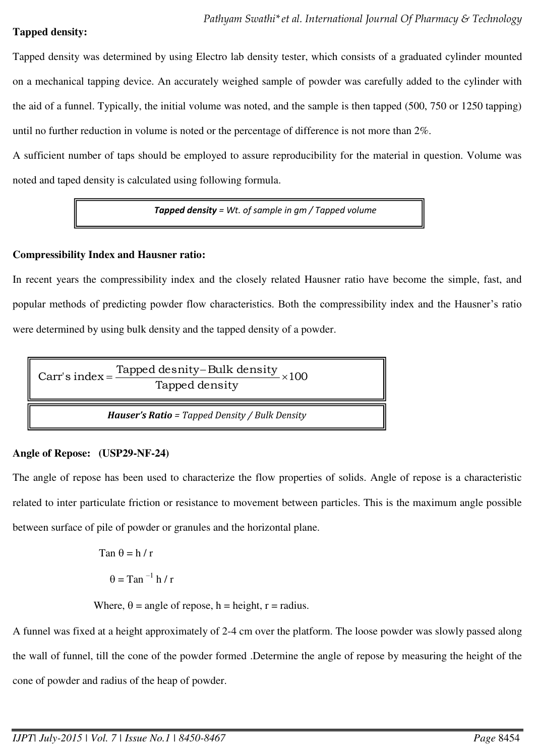### **Tapped density:**

Tapped density was determined by using Electro lab density tester, which consists of a graduated cylinder mounted on a mechanical tapping device. An accurately weighed sample of powder was carefully added to the cylinder with the aid of a funnel. Typically, the initial volume was noted, and the sample is then tapped (500, 750 or 1250 tapping) until no further reduction in volume is noted or the percentage of difference is not more than 2%.

A sufficient number of taps should be employed to assure reproducibility for the material in question. Volume was noted and taped density is calculated using following formula.

*Tapped density = Wt. of sample in gm / Tapped volume* 

### **Compressibility Index and Hausner ratio:**

In recent years the compressibility index and the closely related Hausner ratio have become the simple, fast, and popular methods of predicting powder flow characteristics. Both the compressibility index and the Hausner's ratio were determined by using bulk density and the tapped density of a powder.



### **Angle of Repose: (USP29-NF-24)**

The angle of repose has been used to characterize the flow properties of solids. Angle of repose is a characteristic related to inter particulate friction or resistance to movement between particles. This is the maximum angle possible between surface of pile of powder or granules and the horizontal plane.

$$
\tan \theta = h / r
$$

$$
\theta = \tan^{-1} h / r
$$

Where,  $\theta$  = angle of repose, h = height, r = radius.

A funnel was fixed at a height approximately of 2-4 cm over the platform. The loose powder was slowly passed along the wall of funnel, till the cone of the powder formed .Determine the angle of repose by measuring the height of the cone of powder and radius of the heap of powder.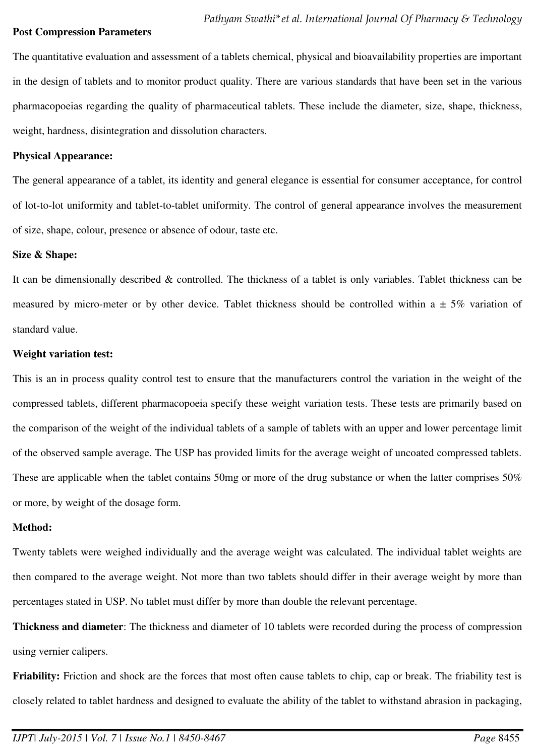#### **Post Compression Parameters**

The quantitative evaluation and assessment of a tablets chemical, physical and bioavailability properties are important in the design of tablets and to monitor product quality. There are various standards that have been set in the various pharmacopoeias regarding the quality of pharmaceutical tablets. These include the diameter, size, shape, thickness, weight, hardness, disintegration and dissolution characters.

#### **Physical Appearance:**

The general appearance of a tablet, its identity and general elegance is essential for consumer acceptance, for control of lot-to-lot uniformity and tablet-to-tablet uniformity. The control of general appearance involves the measurement of size, shape, colour, presence or absence of odour, taste etc.

#### **Size & Shape:**

It can be dimensionally described & controlled. The thickness of a tablet is only variables. Tablet thickness can be measured by micro-meter or by other device. Tablet thickness should be controlled within a  $\pm$  5% variation of standard value.

#### **Weight variation test:**

This is an in process quality control test to ensure that the manufacturers control the variation in the weight of the compressed tablets, different pharmacopoeia specify these weight variation tests. These tests are primarily based on the comparison of the weight of the individual tablets of a sample of tablets with an upper and lower percentage limit of the observed sample average. The USP has provided limits for the average weight of uncoated compressed tablets. These are applicable when the tablet contains 50mg or more of the drug substance or when the latter comprises 50% or more, by weight of the dosage form.

#### **Method:**

Twenty tablets were weighed individually and the average weight was calculated. The individual tablet weights are then compared to the average weight. Not more than two tablets should differ in their average weight by more than percentages stated in USP. No tablet must differ by more than double the relevant percentage.

**Thickness and diameter**: The thickness and diameter of 10 tablets were recorded during the process of compression using vernier calipers.

**Friability:** Friction and shock are the forces that most often cause tablets to chip, cap or break. The friability test is closely related to tablet hardness and designed to evaluate the ability of the tablet to withstand abrasion in packaging,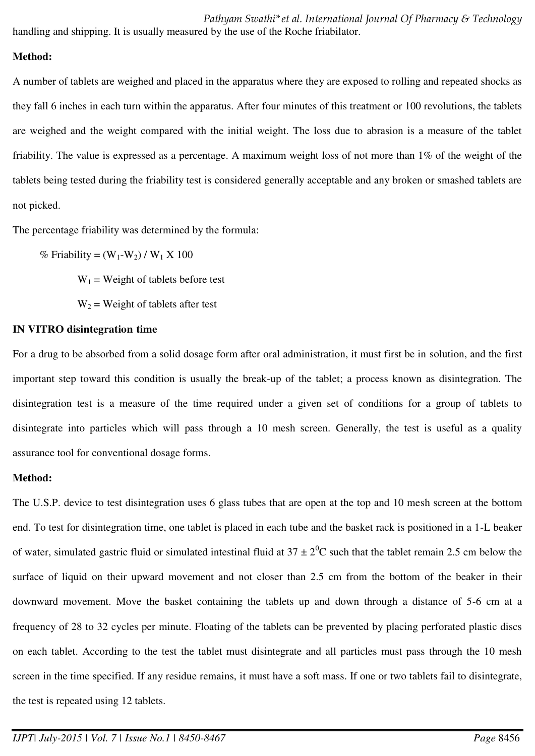*Pathyam Swathi\*et al. International Journal Of Pharmacy & Technology*  handling and shipping. It is usually measured by the use of the Roche friabilator.

### **Method:**

A number of tablets are weighed and placed in the apparatus where they are exposed to rolling and repeated shocks as they fall 6 inches in each turn within the apparatus. After four minutes of this treatment or 100 revolutions, the tablets are weighed and the weight compared with the initial weight. The loss due to abrasion is a measure of the tablet friability. The value is expressed as a percentage. A maximum weight loss of not more than 1% of the weight of the tablets being tested during the friability test is considered generally acceptable and any broken or smashed tablets are not picked.

The percentage friability was determined by the formula:

% Friability =  $(W_1-W_2) / W_1 X 100$ 

 $W_1$  = Weight of tablets before test

 $W_2$  = Weight of tablets after test

### **IN VITRO disintegration time**

For a drug to be absorbed from a solid dosage form after oral administration, it must first be in solution, and the first important step toward this condition is usually the break-up of the tablet; a process known as disintegration. The disintegration test is a measure of the time required under a given set of conditions for a group of tablets to disintegrate into particles which will pass through a 10 mesh screen. Generally, the test is useful as a quality assurance tool for conventional dosage forms.

### **Method:**

The U.S.P. device to test disintegration uses 6 glass tubes that are open at the top and 10 mesh screen at the bottom end. To test for disintegration time, one tablet is placed in each tube and the basket rack is positioned in a 1-L beaker of water, simulated gastric fluid or simulated intestinal fluid at  $37 \pm 2^{0}$ C such that the tablet remain 2.5 cm below the surface of liquid on their upward movement and not closer than 2.5 cm from the bottom of the beaker in their downward movement. Move the basket containing the tablets up and down through a distance of 5-6 cm at a frequency of 28 to 32 cycles per minute. Floating of the tablets can be prevented by placing perforated plastic discs on each tablet. According to the test the tablet must disintegrate and all particles must pass through the 10 mesh screen in the time specified. If any residue remains, it must have a soft mass. If one or two tablets fail to disintegrate, the test is repeated using 12 tablets.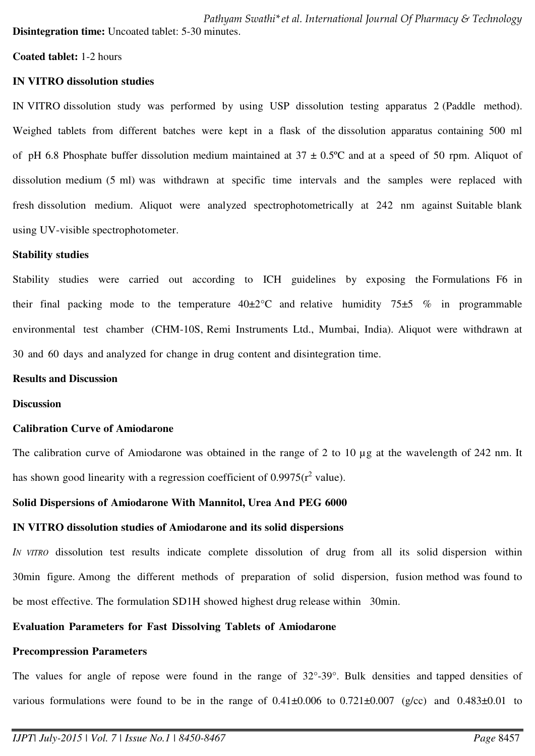*Pathyam Swathi\*et al. International Journal Of Pharmacy & Technology*  **Disintegration time:** Uncoated tablet: 5-30 minutes.

#### **Coated tablet:** 1-2 hours

#### **IN VITRO dissolution studies**

IN VITRO dissolution study was performed by using USP dissolution testing apparatus 2 (Paddle method). Weighed tablets from different batches were kept in a flask of the dissolution apparatus containing 500 ml of pH 6.8 Phosphate buffer dissolution medium maintained at  $37 \pm 0.5^{\circ}$ C and at a speed of 50 rpm. Aliquot of dissolution medium (5 ml) was withdrawn at specific time intervals and the samples were replaced with fresh dissolution medium. Aliquot were analyzed spectrophotometrically at 242 nm against Suitable blank using UV-visible spectrophotometer.

#### **Stability studies**

Stability studies were carried out according to ICH guidelines by exposing the Formulations F6 in their final packing mode to the temperature  $40\pm2\degree C$  and relative humidity  $75\pm5\degree\%$  in programmable environmental test chamber (CHM-10S, Remi Instruments Ltd., Mumbai, India). Aliquot were withdrawn at 30 and 60 days and analyzed for change in drug content and disintegration time.

#### **Results and Discussion**

#### **Discussion**

#### **Calibration Curve of Amiodarone**

The calibration curve of Amiodarone was obtained in the range of 2 to 10 µg at the wavelength of 242 nm. It has shown good linearity with a regression coefficient of  $0.9975(r^2 \text{ value})$ .

#### **Solid Dispersions of Amiodarone With Mannitol, Urea And PEG 6000**

#### **IN VITRO dissolution studies of Amiodarone and its solid dispersions**

*IN VITRO* dissolution test results indicate complete dissolution of drug from all its solid dispersion within 30min figure. Among the different methods of preparation of solid dispersion, fusion method was found to be most effective. The formulation SD1H showed highest drug release within 30min.

### **Evaluation Parameters for Fast Dissolving Tablets of Amiodarone**

#### **Precompression Parameters**

The values for angle of repose were found in the range of 32°-39°. Bulk densities and tapped densities of various formulations were found to be in the range of  $0.41\pm0.006$  to  $0.721\pm0.007$  (g/cc) and  $0.483\pm0.01$  to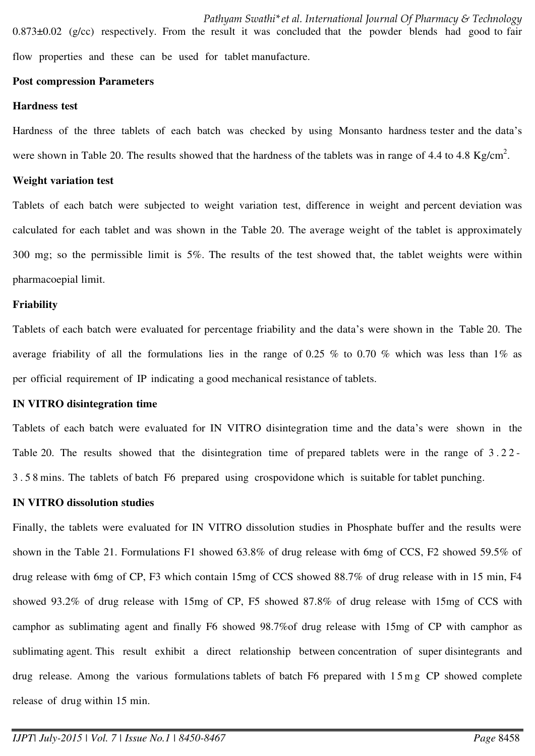*Pathyam Swathi\*et al. International Journal Of Pharmacy & Technology*  0.873±0.02 (g/cc) respectively. From the result it was concluded that the powder blends had good to fair flow properties and these can be used for tablet manufacture.

#### **Post compression Parameters**

#### **Hardness test**

Hardness of the three tablets of each batch was checked by using Monsanto hardness tester and the data's were shown in Table 20. The results showed that the hardness of the tablets was in range of 4.4 to 4.8 Kg/cm<sup>2</sup>.

#### **Weight variation test**

Tablets of each batch were subjected to weight variation test, difference in weight and percent deviation was calculated for each tablet and was shown in the Table 20. The average weight of the tablet is approximately 300 mg; so the permissible limit is 5%. The results of the test showed that, the tablet weights were within pharmacoepial limit.

#### **Friability**

Tablets of each batch were evaluated for percentage friability and the data's were shown in the Table 20. The average friability of all the formulations lies in the range of 0.25 % to 0.70 % which was less than  $1\%$  as per official requirement of IP indicating a good mechanical resistance of tablets.

#### **IN VITRO disintegration time**

Tablets of each batch were evaluated for IN VITRO disintegration time and the data's were shown in the Table 20. The results showed that the disintegration time of prepared tablets were in the range of 3 . 2 2 - 3 . 5 8 mins. The tablets of batch F6 prepared using crospovidone which is suitable for tablet punching.

#### **IN VITRO dissolution studies**

Finally, the tablets were evaluated for IN VITRO dissolution studies in Phosphate buffer and the results were shown in the Table 21. Formulations F1 showed 63.8% of drug release with 6mg of CCS, F2 showed 59.5% of drug release with 6mg of CP, F3 which contain 15mg of CCS showed 88.7% of drug release with in 15 min, F4 showed 93.2% of drug release with 15mg of CP, F5 showed 87.8% of drug release with 15mg of CCS with camphor as sublimating agent and finally F6 showed 98.7%of drug release with 15mg of CP with camphor as sublimating agent. This result exhibit a direct relationship between concentration of super disintegrants and drug release. Among the various formulations tablets of batch F6 prepared with 1 5 m g CP showed complete release of drug within 15 min.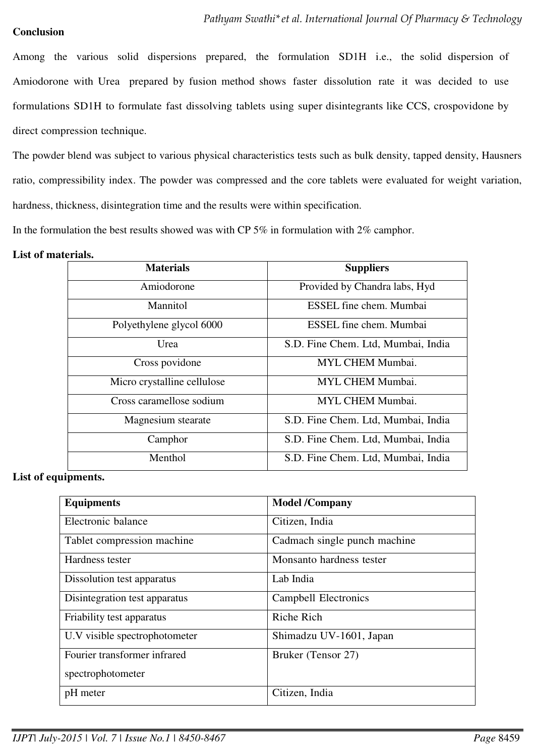### **Conclusion**

Among the various solid dispersions prepared, the formulation SD1H i.e., the solid dispersion of Amiodorone with Urea prepared by fusion method shows faster dissolution rate it was decided to use formulations SD1H to formulate fast dissolving tablets using super disintegrants like CCS, crospovidone by direct compression technique.

The powder blend was subject to various physical characteristics tests such as bulk density, tapped density, Hausners ratio, compressibility index. The powder was compressed and the core tablets were evaluated for weight variation, hardness, thickness, disintegration time and the results were within specification.

In the formulation the best results showed was with CP 5% in formulation with 2% camphor.

#### **List of materials.**

| <b>Materials</b>            | <b>Suppliers</b>                   |
|-----------------------------|------------------------------------|
| Amiodorone                  | Provided by Chandra labs, Hyd      |
| Mannitol                    | ESSEL fine chem. Mumbai            |
| Polyethylene glycol 6000    | ESSEL fine chem. Mumbai            |
| Urea                        | S.D. Fine Chem. Ltd, Mumbai, India |
| Cross povidone              | <b>MYL CHEM Mumbai.</b>            |
| Micro crystalline cellulose | MYL CHEM Mumbai.                   |
| Cross caramellose sodium    | MYL CHEM Mumbai.                   |
| Magnesium stearate          | S.D. Fine Chem. Ltd, Mumbai, India |
| Camphor                     | S.D. Fine Chem. Ltd, Mumbai, India |
| Menthol                     | S.D. Fine Chem. Ltd, Mumbai, India |

**List of equipments.** 

| <b>Equipments</b>             | <b>Model /Company</b>        |
|-------------------------------|------------------------------|
| Electronic balance            | Citizen, India               |
| Tablet compression machine    | Cadmach single punch machine |
| Hardness tester               | Monsanto hardness tester     |
| Dissolution test apparatus    | Lab India                    |
| Disintegration test apparatus | <b>Campbell Electronics</b>  |
| Friability test apparatus     | Riche Rich                   |
| U.V visible spectrophotometer | Shimadzu UV-1601, Japan      |
| Fourier transformer infrared  | Bruker (Tensor 27)           |
| spectrophotometer             |                              |
| pH meter                      | Citizen, India               |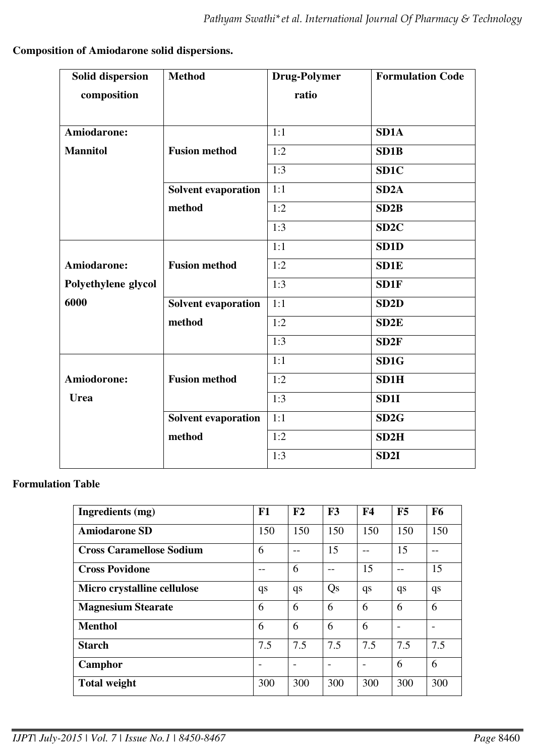# **Composition of Amiodarone solid dispersions.**

| <b>Solid dispersion</b> | <b>Method</b>              | <b>Drug-Polymer</b> | <b>Formulation Code</b> |
|-------------------------|----------------------------|---------------------|-------------------------|
| composition             |                            | ratio               |                         |
|                         |                            |                     |                         |
| Amiodarone:             |                            | 1:1                 | SD <sub>1</sub> A       |
| <b>Mannitol</b>         | <b>Fusion method</b>       | 1:2                 | SD <sub>1</sub> B       |
|                         |                            | 1:3                 | SD1C                    |
|                         | <b>Solvent evaporation</b> | 1:1                 | SD <sub>2</sub> A       |
|                         | method                     | 1:2                 | SD2B                    |
|                         |                            | 1:3                 | SD <sub>2</sub> C       |
|                         |                            | 1:1                 | SD <sub>1</sub> D       |
| Amiodarone:             | <b>Fusion method</b>       | 1:2                 | <b>SD1E</b>             |
| Polyethylene glycol     |                            | 1:3                 | SD1F                    |
| 6000                    | <b>Solvent evaporation</b> | 1:1                 | SD <sub>2</sub> D       |
|                         | method                     | 1:2                 | SD <sub>2</sub> E       |
|                         |                            | 1:3                 | SD <sub>2F</sub>        |
|                         |                            | 1:1                 | SD1G                    |
| Amiodorone:             | <b>Fusion method</b>       | 1:2                 | SD1H                    |
| <b>Urea</b>             |                            | 1:3                 | SD1I                    |
|                         | <b>Solvent evaporation</b> | 1:1                 | SD2G                    |
|                         | method                     | 1:2                 | SD2H                    |
|                         |                            | 1:3                 | SD <sub>2I</sub>        |

# **Formulation Table**

| Ingredients (mg)                | F1  | F2                       | F3  | F <sub>4</sub> | F5  | <b>F6</b> |
|---------------------------------|-----|--------------------------|-----|----------------|-----|-----------|
| <b>Amiodarone SD</b>            | 150 | 150                      | 150 | 150            | 150 | 150       |
| <b>Cross Caramellose Sodium</b> | 6   | $ -$                     | 15  | $ -$           | 15  | --        |
| <b>Cross Povidone</b>           |     | 6                        | --  | 15             | --  | 15        |
| Micro crystalline cellulose     | qs  | qs                       | Qs  | qs             | qs  | qs        |
| <b>Magnesium Stearate</b>       | 6   | 6                        | 6   | 6              | 6   | 6         |
| <b>Menthol</b>                  | 6   | 6                        | 6   | 6              |     |           |
| <b>Starch</b>                   | 7.5 | 7.5                      | 7.5 | 7.5            | 7.5 | 7.5       |
| Camphor                         |     | $\overline{\phantom{a}}$ |     |                | 6   | 6         |
| <b>Total weight</b>             | 300 | 300                      | 300 | 300            | 300 | 300       |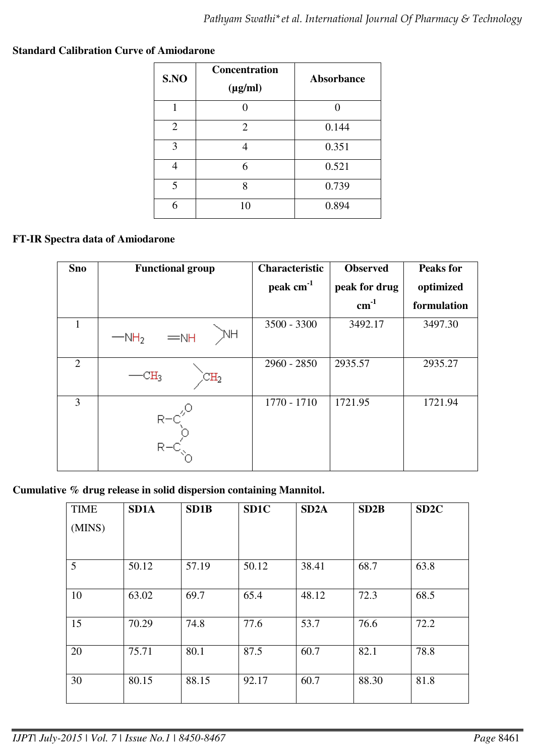| S.NO           | <b>Concentration</b><br>$(\mu g/ml)$ | <b>Absorbance</b> |
|----------------|--------------------------------------|-------------------|
| 1              |                                      |                   |
| $\overline{2}$ | $\overline{2}$                       | 0.144             |
| 3              |                                      | 0.351             |
|                | 6                                    | 0.521             |
| 5              | g                                    | 0.739             |
|                | 10                                   | 0.894             |

### **Standard Calibration Curve of Amiodarone**

### **FT-IR Spectra data of Amiodarone**

| <b>Sno</b>     | <b>Functional group</b>                    | <b>Characteristic</b> | <b>Observed</b> | <b>Peaks for</b> |
|----------------|--------------------------------------------|-----------------------|-----------------|------------------|
|                |                                            | peak cm <sup>-1</sup> | peak for drug   | optimized        |
|                |                                            |                       | $cm^{-1}$       | formulation      |
|                | NΗ<br>$=$ NH<br>$-MH2$                     | 3500 - 3300           | 3492.17         | 3497.30          |
| $\overline{2}$ | $\mathbb{H}_3$<br>$\mathbb{C}\mathrm{H}_2$ | $2960 - 2850$         | 2935.57         | 2935.27          |
| 3              | к                                          | 1770 - 1710           | 1721.95         | 1721.94          |

**Cumulative % drug release in solid dispersion containing Mannitol.** 

| <b>TIME</b> | SD <sub>1</sub> A | SD1B  | SD <sub>1C</sub> | SD <sub>2</sub> A | SD2B  | SD <sub>2C</sub> |
|-------------|-------------------|-------|------------------|-------------------|-------|------------------|
| (MINS)      |                   |       |                  |                   |       |                  |
|             |                   |       |                  |                   |       |                  |
| 5           | 50.12             | 57.19 | 50.12            | 38.41             | 68.7  | 63.8             |
| 10          | 63.02             | 69.7  | 65.4             | 48.12             | 72.3  | 68.5             |
| 15          | 70.29             | 74.8  | 77.6             | 53.7              | 76.6  | 72.2             |
| 20          | 75.71             | 80.1  | 87.5             | 60.7              | 82.1  | 78.8             |
| 30          | 80.15             | 88.15 | 92.17            | 60.7              | 88.30 | 81.8             |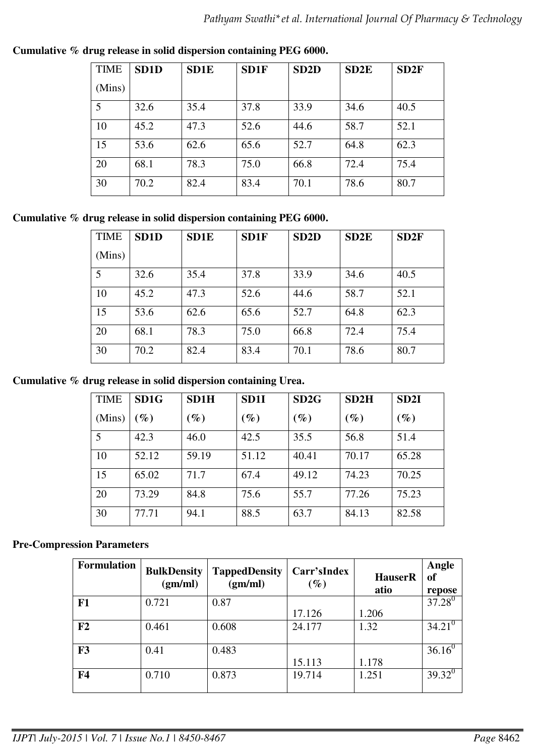| <b>TIME</b> | SD <sub>1</sub> D | <b>SD1E</b> | SD1F | SD <sub>2</sub> D | SD <sub>2</sub> E | SD2F |
|-------------|-------------------|-------------|------|-------------------|-------------------|------|
| (Mins)      |                   |             |      |                   |                   |      |
| 5           | 32.6              | 35.4        | 37.8 | 33.9              | 34.6              | 40.5 |
| 10          | 45.2              | 47.3        | 52.6 | 44.6              | 58.7              | 52.1 |
| 15          | 53.6              | 62.6        | 65.6 | 52.7              | 64.8              | 62.3 |
| 20          | 68.1              | 78.3        | 75.0 | 66.8              | 72.4              | 75.4 |
| 30          | 70.2              | 82.4        | 83.4 | 70.1              | 78.6              | 80.7 |

**Cumulative % drug release in solid dispersion containing PEG 6000.** 

**Cumulative % drug release in solid dispersion containing PEG 6000.** 

| <b>TIME</b> | SD <sub>1</sub> D | <b>SD1E</b> | SD1F | SD <sub>2</sub> D | SD <sub>2</sub> E | SD2F |
|-------------|-------------------|-------------|------|-------------------|-------------------|------|
| (Mins)      |                   |             |      |                   |                   |      |
| 5           | 32.6              | 35.4        | 37.8 | 33.9              | 34.6              | 40.5 |
| 10          | 45.2              | 47.3        | 52.6 | 44.6              | 58.7              | 52.1 |
| 15          | 53.6              | 62.6        | 65.6 | 52.7              | 64.8              | 62.3 |
| 20          | 68.1              | 78.3        | 75.0 | 66.8              | 72.4              | 75.4 |
| 30          | 70.2              | 82.4        | 83.4 | 70.1              | 78.6              | 80.7 |

**Cumulative % drug release in solid dispersion containing Urea.** 

| <b>TIME</b> | SD <sub>1G</sub> | SD1H   | SD <sub>11</sub> | SD2G   | SD2H   | SD <sub>2I</sub> |
|-------------|------------------|--------|------------------|--------|--------|------------------|
| (Mins)      | $\mathscr{G}_0$  | $(\%)$ | $(\%)$           | $(\%)$ | $(\%)$ | $\mathscr{G}_o$  |
| 5           | 42.3             | 46.0   | 42.5             | 35.5   | 56.8   | 51.4             |
| 10          | 52.12            | 59.19  | 51.12            | 40.41  | 70.17  | 65.28            |
| 15          | 65.02            | 71.7   | 67.4             | 49.12  | 74.23  | 70.25            |
| 20          | 73.29            | 84.8   | 75.6             | 55.7   | 77.26  | 75.23            |
| 30          | 77.71            | 94.1   | 88.5             | 63.7   | 84.13  | 82.58            |

# **Pre-Compression Parameters**

| <b>Formulation</b> | <b>BulkDensity</b><br>(gm/ml) | <b>TappedDensity</b><br>(gm/ml) | Carr'sIndex<br>$(\%)$ | <b>HauserR</b><br>atio | Angle<br>of<br>repose |
|--------------------|-------------------------------|---------------------------------|-----------------------|------------------------|-----------------------|
| F1                 | 0.721                         | 0.87                            |                       |                        | $37.28^{0}$           |
|                    |                               |                                 | 17.126                | 1.206                  |                       |
| F2                 | 0.461                         | 0.608                           | 24.177                | 1.32                   | $34.21^{\circ}$       |
| F3                 | 0.41                          | 0.483                           |                       |                        | $36.16^{0}$           |
|                    |                               |                                 | 15.113                | 1.178                  |                       |
| F <sub>4</sub>     | 0.710                         | 0.873                           | 19.714                | 1.251                  | $39.32^{0}$           |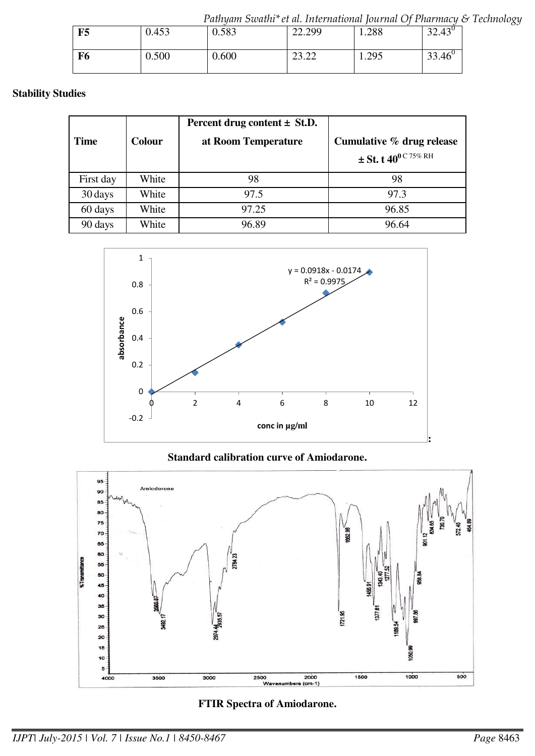*Pathyam Swathi\*et al. International Journal Of Pharmacy & Technology* 

| F5 | 0.453 | 0.583 | 22.299           | 1.288 | $22.42^{\circ}$<br><i><b>JL.4J</b></i> |
|----|-------|-------|------------------|-------|----------------------------------------|
| F6 | 0.500 | 0.600 | רה רה<br>ے ے ۔ ب | 1.295 | $33.46^{\circ}$                        |

### **Stability Studies**

| <b>Time</b> | <b>Colour</b> | Percent drug content $\pm$ St.D.<br>at Room Temperature | Cumulative % drug release<br>$\pm$ St. t 40 <sup>0 C 75% RH</sup> |
|-------------|---------------|---------------------------------------------------------|-------------------------------------------------------------------|
| First day   | White         | 98                                                      | 98                                                                |
| 30 days     | White         | 97.5                                                    | 97.3                                                              |
| 60 days     | White         | 97.25                                                   | 96.85                                                             |
| 90 days     | White         | 96.89                                                   | 96.64                                                             |



# **Standard calibration curve of Amiodarone.**



## **FTIR Spectra of Amiodarone.**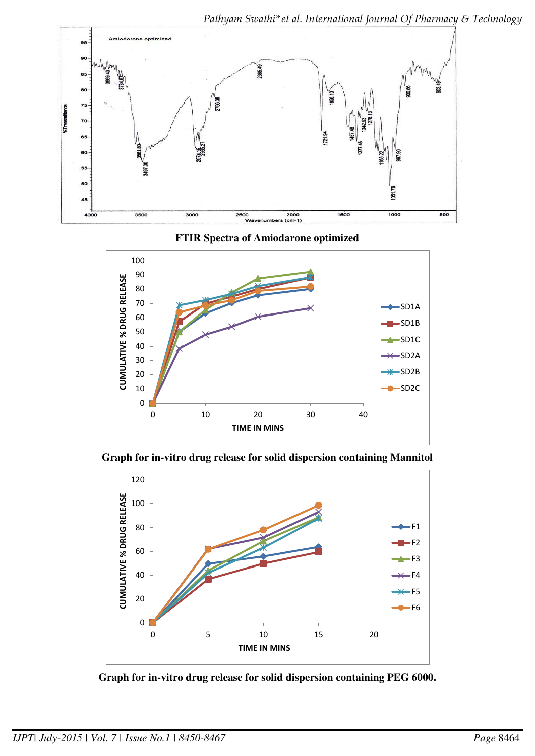*Pathyam Swathi\*et al. International Journal Of Pharmacy & Technology* 



**FTIR Spectra of Amiodarone optimized** 



**Graph for in-vitro drug release for solid dispersion containing Mannitol** 



**Graph for in-vitro drug release for solid dispersion containing PEG 6000.**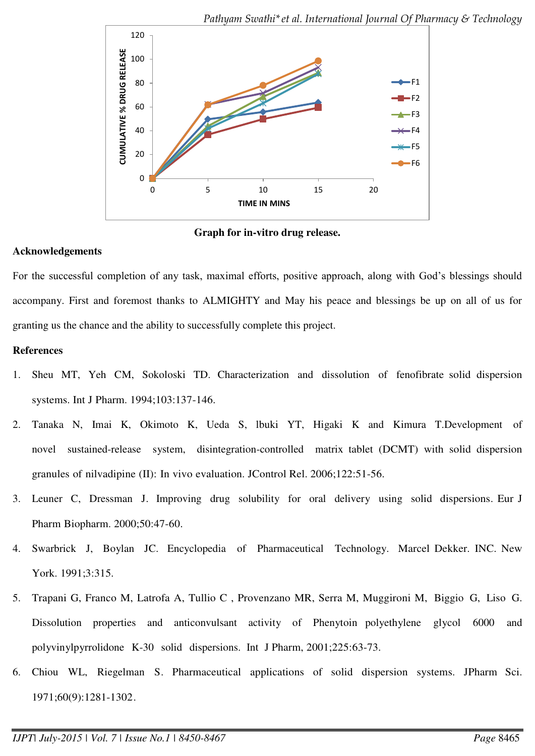

**Graph for in-vitro drug release.** 

### **Acknowledgements**

For the successful completion of any task, maximal efforts, positive approach, along with God's blessings should accompany. First and foremost thanks to ALMIGHTY and May his peace and blessings be up on all of us for granting us the chance and the ability to successfully complete this project.

### **References**

- 1. Sheu MT, Yeh CM, Sokoloski TD. Characterization and dissolution of fenofibrate solid dispersion systems. Int J Pharm. 1994;103:137-146.
- 2. Tanaka N, Imai K, Okimoto K, Ueda S, lbuki YT, Higaki K and Kimura T.Development of novel sustained-release system, disintegration-controlled matrix tablet (DCMT) with solid dispersion granules of nilvadipine (II): In vivo evaluation. JControl Rel. 2006;122:51-56.
- 3. Leuner C, Dressman J. Improving drug solubility for oral delivery using solid dispersions. Eur J Pharm Biopharm. 2000;50:47-60.
- 4. Swarbrick J, Boylan JC. Encyclopedia of Pharmaceutical Technology. Marcel Dekker. INC. New York. 1991;3:315.
- 5. Trapani G, Franco M, Latrofa A, Tullio C , Provenzano MR, Serra M, Muggironi M, Biggio G, Liso G. Dissolution properties and anticonvulsant activity of Phenytoin polyethylene glycol 6000 and polyvinylpyrrolidone K-30 solid dispersions. Int J Pharm, 2001;225:63-73.
- 6. Chiou WL, Riegelman S. Pharmaceutical applications of solid dispersion systems. JPharm Sci. 1971;60(9):1281-1302.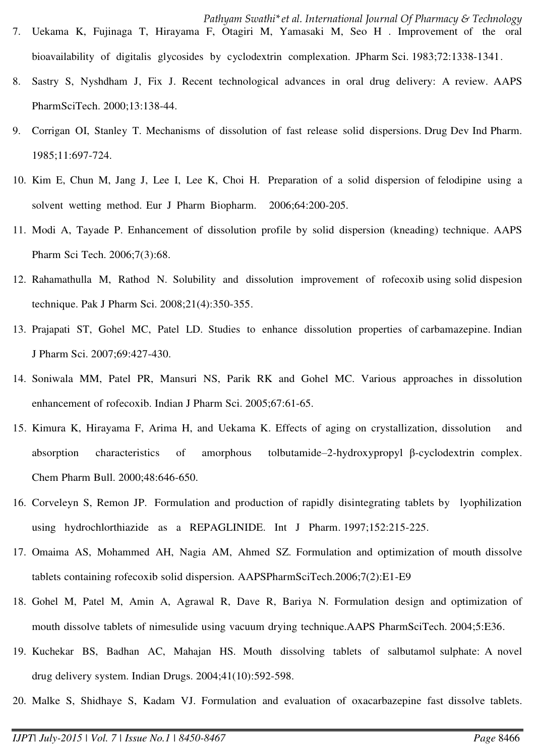- *Pathyam Swathi\*et al. International Journal Of Pharmacy & Technology*  7. Uekama K, Fujinaga T, Hirayama F, Otagiri M, Yamasaki M, Seo H . Improvement of the oral bioavailability of digitalis glycosides by cyclodextrin complexation. JPharm Sci. 1983;72:1338-1341.
- 8. Sastry S, Nyshdham J, Fix J. Recent technological advances in oral drug delivery: A review. AAPS PharmSciTech. 2000;13:138-44.
- 9. Corrigan OI, Stanley T. Mechanisms of dissolution of fast release solid dispersions. Drug Dev Ind Pharm. 1985;11:697-724.
- 10. Kim E, Chun M, Jang J, Lee I, Lee K, Choi H. Preparation of a solid dispersion of felodipine using a solvent wetting method. Eur J Pharm Biopharm. 2006;64:200-205.
- 11. Modi A, Tayade P. Enhancement of dissolution profile by solid dispersion (kneading) technique. AAPS Pharm Sci Tech. 2006;7(3):68.
- 12. Rahamathulla M, Rathod N. Solubility and dissolution improvement of rofecoxib using solid dispesion technique. Pak J Pharm Sci. 2008;21(4):350-355.
- 13. Prajapati ST, Gohel MC, Patel LD. Studies to enhance dissolution properties of carbamazepine. Indian J Pharm Sci. 2007;69:427-430.
- 14. Soniwala MM, Patel PR, Mansuri NS, Parik RK and Gohel MC. Various approaches in dissolution enhancement of rofecoxib. Indian J Pharm Sci. 2005;67:61-65.
- 15. Kimura K, Hirayama F, Arima H, and Uekama K. Effects of aging on crystallization, dissolution and absorption characteristics of amorphous tolbutamide–2-hydroxypropyl β-cyclodextrin complex. Chem Pharm Bull. 2000;48:646-650.
- 16. Corveleyn S, Remon JP. Formulation and production of rapidly disintegrating tablets by lyophilization using hydrochlorthiazide as a REPAGLINIDE. Int J Pharm. 1997;152:215-225.
- 17. Omaima AS, Mohammed AH, Nagia AM, Ahmed SZ. Formulation and optimization of mouth dissolve tablets containing rofecoxib solid dispersion. AAPSPharmSciTech.2006;7(2):E1-E9
- 18. Gohel M, Patel M, Amin A, Agrawal R, Dave R, Bariya N. Formulation design and optimization of mouth dissolve tablets of nimesulide using vacuum drying technique.AAPS PharmSciTech. 2004;5:E36.
- 19. Kuchekar BS, Badhan AC, Mahajan HS. Mouth dissolving tablets of salbutamol sulphate: A novel drug delivery system. Indian Drugs. 2004;41(10):592-598.
- 20. Malke S, Shidhaye S, Kadam VJ. Formulation and evaluation of oxacarbazepine fast dissolve tablets.